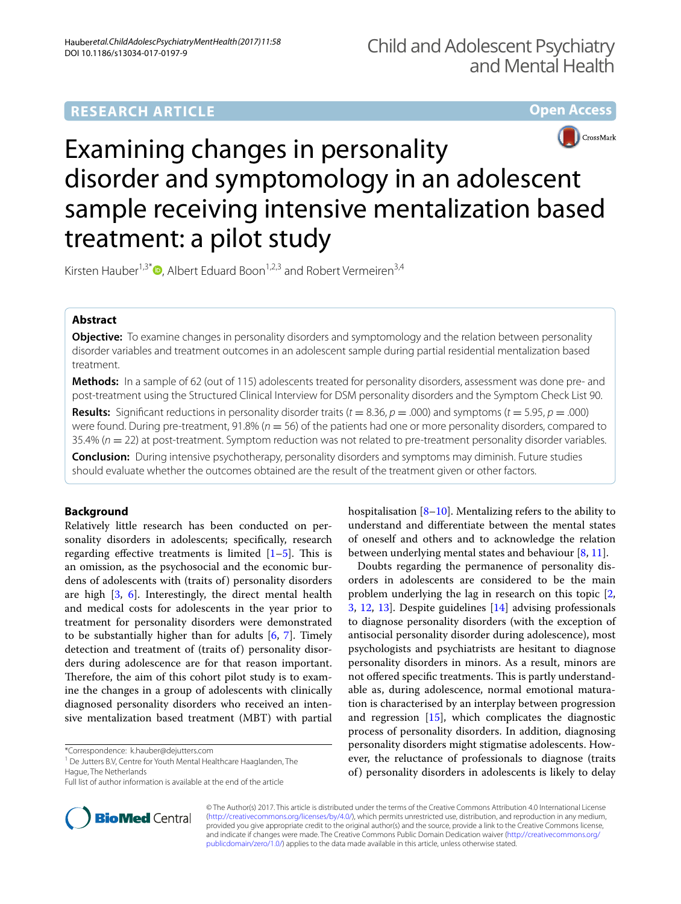# **RESEARCH ARTICLE**





# Examining changes in personality disorder and symptomology in an adolescent sample receiving intensive mentalization based treatment: a pilot study

Kirsten Hauber<sup>1,3\*</sup> $\bullet$ [,](http://orcid.org/0000-0001-5993-2820) Albert Eduard Boon<sup>1,2,3</sup> and Robert Vermeiren<sup>3,4</sup>

# **Abstract**

**Objective:** To examine changes in personality disorders and symptomology and the relation between personality disorder variables and treatment outcomes in an adolescent sample during partial residential mentalization based treatment.

**Methods:** In a sample of 62 (out of 115) adolescents treated for personality disorders, assessment was done pre- and post-treatment using the Structured Clinical Interview for DSM personality disorders and the Symptom Check List 90.

**Results:** Significant reductions in personality disorder traits ( $t = 8.36$ ,  $p = .000$ ) and symptoms ( $t = 5.95$ ,  $p = .000$ ) were found. During pre-treatment, 91.8% (*n* = 56) of the patients had one or more personality disorders, compared to 35.4% ( $n = 22$ ) at post-treatment. Symptom reduction was not related to pre-treatment personality disorder variables.

**Conclusion:** During intensive psychotherapy, personality disorders and symptoms may diminish. Future studies should evaluate whether the outcomes obtained are the result of the treatment given or other factors.

# **Background**

Relatively little research has been conducted on personality disorders in adolescents; specifcally, research regarding effective treatments is limited  $[1-5]$  $[1-5]$ . This is an omission, as the psychosocial and the economic burdens of adolescents with (traits of) personality disorders are high [\[3](#page-6-2), [6](#page-6-3)]. Interestingly, the direct mental health and medical costs for adolescents in the year prior to treatment for personality disorders were demonstrated to be substantially higher than for adults  $[6, 7]$  $[6, 7]$  $[6, 7]$  $[6, 7]$ . Timely detection and treatment of (traits of) personality disorders during adolescence are for that reason important. Therefore, the aim of this cohort pilot study is to examine the changes in a group of adolescents with clinically diagnosed personality disorders who received an intensive mentalization based treatment (MBT) with partial

\*Correspondence: k.hauber@dejutters.com



Doubts regarding the permanence of personality disorders in adolescents are considered to be the main problem underlying the lag in research on this topic [\[2](#page-6-8), [3,](#page-6-2) [12](#page-6-9), [13\]](#page-6-10). Despite guidelines [[14\]](#page-6-11) advising professionals to diagnose personality disorders (with the exception of antisocial personality disorder during adolescence), most psychologists and psychiatrists are hesitant to diagnose personality disorders in minors. As a result, minors are not offered specific treatments. This is partly understandable as, during adolescence, normal emotional maturation is characterised by an interplay between progression and regression [\[15\]](#page-6-12), which complicates the diagnostic process of personality disorders. In addition, diagnosing personality disorders might stigmatise adolescents. However, the reluctance of professionals to diagnose (traits of) personality disorders in adolescents is likely to delay



© The Author(s) 2017. This article is distributed under the terms of the Creative Commons Attribution 4.0 International License [\(http://creativecommons.org/licenses/by/4.0/\)](http://creativecommons.org/licenses/by/4.0/), which permits unrestricted use, distribution, and reproduction in any medium, provided you give appropriate credit to the original author(s) and the source, provide a link to the Creative Commons license, and indicate if changes were made. The Creative Commons Public Domain Dedication waiver ([http://creativecommons.org/](http://creativecommons.org/publicdomain/zero/1.0/) [publicdomain/zero/1.0/](http://creativecommons.org/publicdomain/zero/1.0/)) applies to the data made available in this article, unless otherwise stated.

<sup>&</sup>lt;sup>1</sup> De Jutters B.V, Centre for Youth Mental Healthcare Haaglanden, The Hague, The Netherlands

Full list of author information is available at the end of the article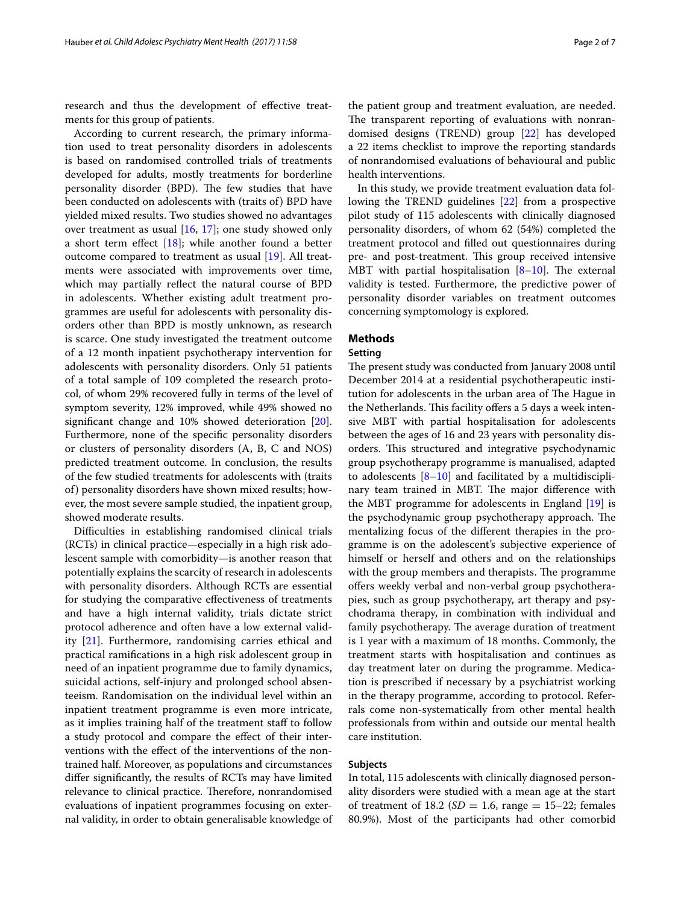research and thus the development of efective treatments for this group of patients.

According to current research, the primary information used to treat personality disorders in adolescents is based on randomised controlled trials of treatments developed for adults, mostly treatments for borderline personality disorder (BPD). The few studies that have been conducted on adolescents with (traits of) BPD have yielded mixed results. Two studies showed no advantages over treatment as usual [\[16,](#page-6-13) [17](#page-6-14)]; one study showed only a short term effect  $[18]$  $[18]$ ; while another found a better outcome compared to treatment as usual [\[19](#page-6-16)]. All treatments were associated with improvements over time, which may partially refect the natural course of BPD in adolescents. Whether existing adult treatment programmes are useful for adolescents with personality disorders other than BPD is mostly unknown, as research is scarce. One study investigated the treatment outcome of a 12 month inpatient psychotherapy intervention for adolescents with personality disorders. Only 51 patients of a total sample of 109 completed the research protocol, of whom 29% recovered fully in terms of the level of symptom severity, 12% improved, while 49% showed no signifcant change and 10% showed deterioration [\[20](#page-6-17)]. Furthermore, none of the specifc personality disorders or clusters of personality disorders (A, B, C and NOS) predicted treatment outcome. In conclusion, the results of the few studied treatments for adolescents with (traits of) personality disorders have shown mixed results; however, the most severe sample studied, the inpatient group, showed moderate results.

Difficulties in establishing randomised clinical trials (RCTs) in clinical practice—especially in a high risk adolescent sample with comorbidity—is another reason that potentially explains the scarcity of research in adolescents with personality disorders. Although RCTs are essential for studying the comparative efectiveness of treatments and have a high internal validity, trials dictate strict protocol adherence and often have a low external validity [\[21\]](#page-6-18). Furthermore, randomising carries ethical and practical ramifcations in a high risk adolescent group in need of an inpatient programme due to family dynamics, suicidal actions, self-injury and prolonged school absenteeism. Randomisation on the individual level within an inpatient treatment programme is even more intricate, as it implies training half of the treatment staf to follow a study protocol and compare the efect of their interventions with the efect of the interventions of the nontrained half. Moreover, as populations and circumstances difer signifcantly, the results of RCTs may have limited relevance to clinical practice. Therefore, nonrandomised evaluations of inpatient programmes focusing on external validity, in order to obtain generalisable knowledge of

the patient group and treatment evaluation, are needed. The transparent reporting of evaluations with nonrandomised designs (TREND) group [\[22\]](#page-6-19) has developed a 22 items checklist to improve the reporting standards of nonrandomised evaluations of behavioural and public health interventions.

In this study, we provide treatment evaluation data following the TREND guidelines [[22](#page-6-19)] from a prospective pilot study of 115 adolescents with clinically diagnosed personality disorders, of whom 62 (54%) completed the treatment protocol and flled out questionnaires during pre- and post-treatment. This group received intensive MBT with partial hospitalisation  $[8-10]$  $[8-10]$  $[8-10]$ . The external validity is tested. Furthermore, the predictive power of personality disorder variables on treatment outcomes concerning symptomology is explored.

# **Methods**

#### **Setting**

The present study was conducted from January 2008 until December 2014 at a residential psychotherapeutic institution for adolescents in the urban area of The Hague in the Netherlands. This facility offers a 5 days a week intensive MBT with partial hospitalisation for adolescents between the ages of 16 and 23 years with personality disorders. This structured and integrative psychodynamic group psychotherapy programme is manualised, adapted to adolescents  $[8-10]$  $[8-10]$  and facilitated by a multidisciplinary team trained in MBT. The major difference with the MBT programme for adolescents in England [[19](#page-6-16)] is the psychodynamic group psychotherapy approach. The mentalizing focus of the diferent therapies in the programme is on the adolescent's subjective experience of himself or herself and others and on the relationships with the group members and therapists. The programme offers weekly verbal and non-verbal group psychotherapies, such as group psychotherapy, art therapy and psychodrama therapy, in combination with individual and family psychotherapy. The average duration of treatment is 1 year with a maximum of 18 months. Commonly, the treatment starts with hospitalisation and continues as day treatment later on during the programme. Medication is prescribed if necessary by a psychiatrist working in the therapy programme, according to protocol. Referrals come non-systematically from other mental health professionals from within and outside our mental health care institution.

# **Subjects**

In total, 115 adolescents with clinically diagnosed personality disorders were studied with a mean age at the start of treatment of 18.2 ( $SD = 1.6$ , range  $= 15-22$ ; females 80.9%). Most of the participants had other comorbid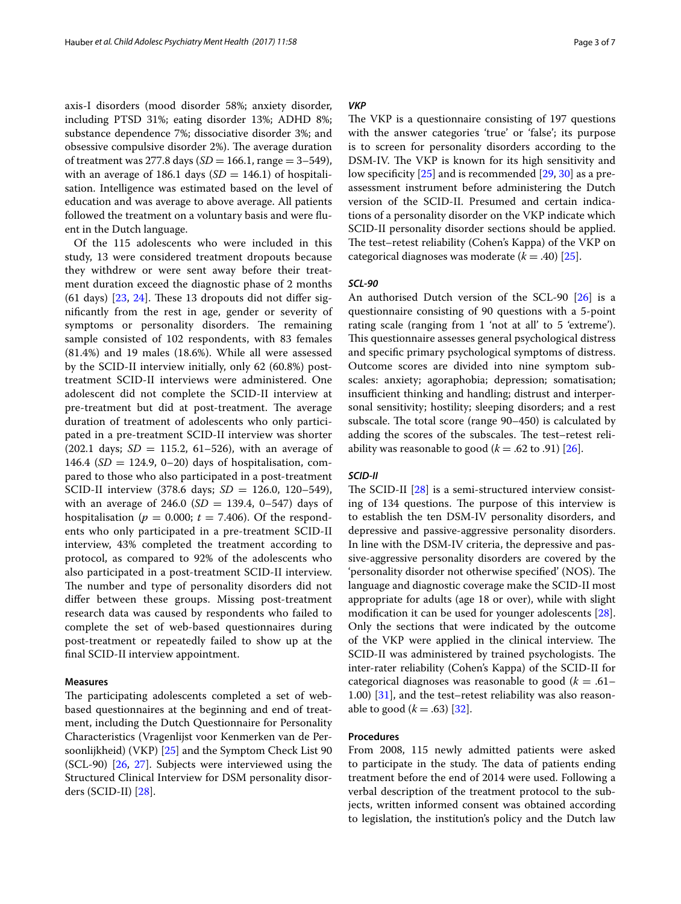axis-I disorders (mood disorder 58%; anxiety disorder, including PTSD 31%; eating disorder 13%; ADHD 8%; substance dependence 7%; dissociative disorder 3%; and obsessive compulsive disorder 2%). The average duration of treatment was 277.8 days (*SD* = 166.1, range = 3–549), with an average of 186.1 days  $(SD = 146.1)$  of hospitalisation. Intelligence was estimated based on the level of education and was average to above average. All patients followed the treatment on a voluntary basis and were fuent in the Dutch language.

Of the 115 adolescents who were included in this study, 13 were considered treatment dropouts because they withdrew or were sent away before their treatment duration exceed the diagnostic phase of 2 months  $(61 \text{ days})$   $[23, 24]$  $[23, 24]$  $[23, 24]$ . These 13 dropouts did not differ signifcantly from the rest in age, gender or severity of symptoms or personality disorders. The remaining sample consisted of 102 respondents, with 83 females (81.4%) and 19 males (18.6%). While all were assessed by the SCID-II interview initially, only 62 (60.8%) posttreatment SCID-II interviews were administered. One adolescent did not complete the SCID-II interview at pre-treatment but did at post-treatment. The average duration of treatment of adolescents who only participated in a pre-treatment SCID-II interview was shorter  $(202.1 \text{ days}; SD = 115.2, 61-526)$ , with an average of 146.4 ( $SD = 124.9$ , 0–20) days of hospitalisation, compared to those who also participated in a post-treatment SCID-II interview (378.6 days; *SD* = 126.0, 120–549), with an average of 246.0 (*SD* = 139.4, 0–547) days of hospitalisation ( $p = 0.000$ ;  $t = 7.406$ ). Of the respondents who only participated in a pre-treatment SCID-II interview, 43% completed the treatment according to protocol, as compared to 92% of the adolescents who also participated in a post-treatment SCID-II interview. The number and type of personality disorders did not difer between these groups. Missing post-treatment research data was caused by respondents who failed to complete the set of web-based questionnaires during post-treatment or repeatedly failed to show up at the fnal SCID-II interview appointment.

#### **Measures**

The participating adolescents completed a set of webbased questionnaires at the beginning and end of treatment, including the Dutch Questionnaire for Personality Characteristics (Vragenlijst voor Kenmerken van de Persoonlijkheid) (VKP) [[25\]](#page-6-22) and the Symptom Check List 90 (SCL-90) [\[26](#page-6-23), [27](#page-6-24)]. Subjects were interviewed using the Structured Clinical Interview for DSM personality disorders (SCID-II) [[28\]](#page-6-25).

# *VKP*

The VKP is a questionnaire consisting of 197 questions with the answer categories 'true' or 'false'; its purpose is to screen for personality disorders according to the DSM-IV. The VKP is known for its high sensitivity and low specificity [\[25](#page-6-22)] and is recommended [[29](#page-6-26), [30\]](#page-6-27) as a preassessment instrument before administering the Dutch version of the SCID-II. Presumed and certain indications of a personality disorder on the VKP indicate which SCID-II personality disorder sections should be applied. The test–retest reliability (Cohen's Kappa) of the VKP on categorical diagnoses was moderate  $(k = .40)$  [[25\]](#page-6-22).

#### *SCL‑90*

An authorised Dutch version of the SCL-90 [\[26\]](#page-6-23) is a questionnaire consisting of 90 questions with a 5-point rating scale (ranging from 1 'not at all' to 5 'extreme'). This questionnaire assesses general psychological distress and specifc primary psychological symptoms of distress. Outcome scores are divided into nine symptom subscales: anxiety; agoraphobia; depression; somatisation; insufficient thinking and handling; distrust and interpersonal sensitivity; hostility; sleeping disorders; and a rest subscale. The total score (range 90–450) is calculated by adding the scores of the subscales. The test-retest reliability was reasonable to good ( $k = .62$  to .91) [\[26](#page-6-23)].

# *SCID‑II*

The SCID-II  $[28]$  $[28]$  $[28]$  is a semi-structured interview consisting of 134 questions. The purpose of this interview is to establish the ten DSM-IV personality disorders, and depressive and passive-aggressive personality disorders. In line with the DSM-IV criteria, the depressive and passive-aggressive personality disorders are covered by the 'personality disorder not otherwise specified' (NOS). The language and diagnostic coverage make the SCID-II most appropriate for adults (age 18 or over), while with slight modifcation it can be used for younger adolescents [\[28](#page-6-25)]. Only the sections that were indicated by the outcome of the VKP were applied in the clinical interview. The SCID-II was administered by trained psychologists. The inter-rater reliability (Cohen's Kappa) of the SCID-II for categorical diagnoses was reasonable to good  $(k=.61-$ 1.00) [[31\]](#page-6-28), and the test–retest reliability was also reasonable to good ( $k = .63$ ) [[32\]](#page-6-29).

# **Procedures**

From 2008, 115 newly admitted patients were asked to participate in the study. The data of patients ending treatment before the end of 2014 were used. Following a verbal description of the treatment protocol to the subjects, written informed consent was obtained according to legislation, the institution's policy and the Dutch law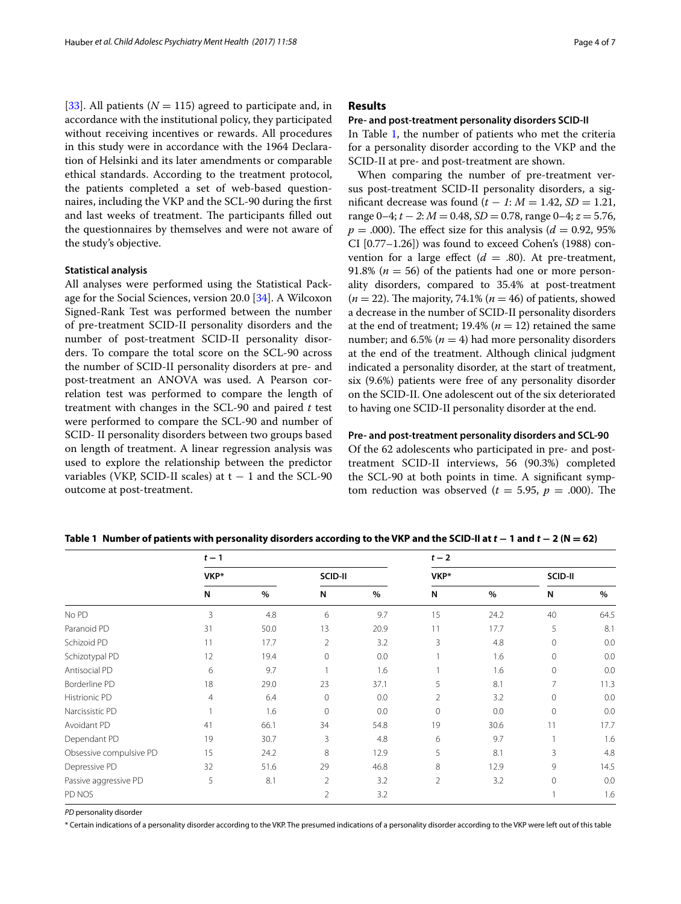[[33\]](#page-6-30). All patients ( $N = 115$ ) agreed to participate and, in accordance with the institutional policy, they participated without receiving incentives or rewards. All procedures in this study were in accordance with the 1964 Declaration of Helsinki and its later amendments or comparable ethical standards. According to the treatment protocol, the patients completed a set of web-based questionnaires, including the VKP and the SCL-90 during the frst and last weeks of treatment. The participants filled out the questionnaires by themselves and were not aware of the study's objective.

# **Statistical analysis**

All analyses were performed using the Statistical Package for the Social Sciences, version 20.0 [\[34\]](#page-6-31). A Wilcoxon Signed-Rank Test was performed between the number of pre-treatment SCID-II personality disorders and the number of post-treatment SCID-II personality disorders. To compare the total score on the SCL-90 across the number of SCID-II personality disorders at pre- and post-treatment an ANOVA was used. A Pearson correlation test was performed to compare the length of treatment with changes in the SCL-90 and paired *t* test were performed to compare the SCL-90 and number of SCID- II personality disorders between two groups based on length of treatment. A linear regression analysis was used to explore the relationship between the predictor variables (VKP, SCID-II scales) at  $t - 1$  and the SCL-90 outcome at post-treatment.

# **Results**

### **Pre‑ and post‑treatment personality disorders SCID‑II**

In Table [1](#page-3-0), the number of patients who met the criteria for a personality disorder according to the VKP and the SCID-II at pre- and post-treatment are shown.

When comparing the number of pre-treatment versus post-treatment SCID-II personality disorders, a significant decrease was found  $(t - 1; M = 1.42, SD = 1.21,$ range 0–4; *t* − *2*: *M* = 0.48, *SD* = 0.78, range 0–4; *z* = 5.76,  $p = .000$ ). The effect size for this analysis ( $d = 0.92, 95\%$ CI [0.77–1.26]) was found to exceed Cohen's (1988) convention for a large effect  $(d = .80)$ . At pre-treatment, 91.8% ( $n = 56$ ) of the patients had one or more personality disorders, compared to 35.4% at post-treatment  $(n = 22)$ . The majority, 74.1%  $(n = 46)$  of patients, showed a decrease in the number of SCID-II personality disorders at the end of treatment; 19.4% ( $n = 12$ ) retained the same number; and  $6.5\%$  ( $n = 4$ ) had more personality disorders at the end of the treatment. Although clinical judgment indicated a personality disorder, at the start of treatment, six (9.6%) patients were free of any personality disorder on the SCID-II. One adolescent out of the six deteriorated to having one SCID-II personality disorder at the end.

## **Pre‑ and post‑treatment personality disorders and SCL‑90**

Of the 62 adolescents who participated in pre- and posttreatment SCID-II interviews, 56 (90.3%) completed the SCL-90 at both points in time. A signifcant symptom reduction was observed ( $t = 5.95$ ,  $p = .000$ ). The

|                         | $t-1$          |      |                |      | $t-2$          |      |              |      |
|-------------------------|----------------|------|----------------|------|----------------|------|--------------|------|
|                         | VKP*           |      | SCID-II        |      | VKP*           |      | SCID-II      |      |
|                         | N              | %    | N              | %    | N              | %    | N            | $\%$ |
| No PD                   | 3              | 4.8  | 6              | 9.7  | 15             | 24.2 | 40           | 64.5 |
| Paranoid PD             | 31             | 50.0 | 13             | 20.9 | 11             | 17.7 | 5            | 8.1  |
| Schizoid PD             | 11             | 17.7 | $\overline{2}$ | 3.2  | 3              | 4.8  | $\mathbf{0}$ | 0.0  |
| Schizotypal PD          | 12             | 19.4 | 0              | 0.0  |                | 1.6  | $\mathbf{0}$ | 0.0  |
| Antisocial PD           | 6              | 9.7  |                | 1.6  |                | 1.6  | 0            | 0.0  |
| Borderline PD           | 18             | 29.0 | 23             | 37.1 | 5              | 8.1  | 7            | 11.3 |
| Histrionic PD           | $\overline{4}$ | 6.4  | $\mathbf{0}$   | 0.0  | 2              | 3.2  | $\mathbf{0}$ | 0.0  |
| Narcissistic PD         |                | 1.6  | $\overline{0}$ | 0.0  | $\mathbf 0$    | 0.0  | $\mathbf 0$  | 0.0  |
| Avoidant PD             | 41             | 66.1 | 34             | 54.8 | 19             | 30.6 | 11           | 17.7 |
| Dependant PD            | 19             | 30.7 | 3              | 4.8  | 6              | 9.7  |              | 1.6  |
| Obsessive compulsive PD | 15             | 24.2 | 8              | 12.9 | 5              | 8.1  | 3            | 4.8  |
| Depressive PD           | 32             | 51.6 | 29             | 46.8 | 8              | 12.9 | 9            | 14.5 |
| Passive aggressive PD   | 5              | 8.1  | $\overline{2}$ | 3.2  | $\overline{2}$ | 3.2  | $\Omega$     | 0.0  |
| PD NOS                  |                |      | $\overline{2}$ | 3.2  |                |      |              | 1.6  |

<span id="page-3-0"></span>**Table 1 Number of patients with personality disorders according to the VKP and the SCID-II at** *t* **− 1 and** *t* **− 2 (N = 62)**

*PD* personality disorder

\* Certain indications of a personality disorder according to the VKP. The presumed indications of a personality disorder according to the VKP were left out of this table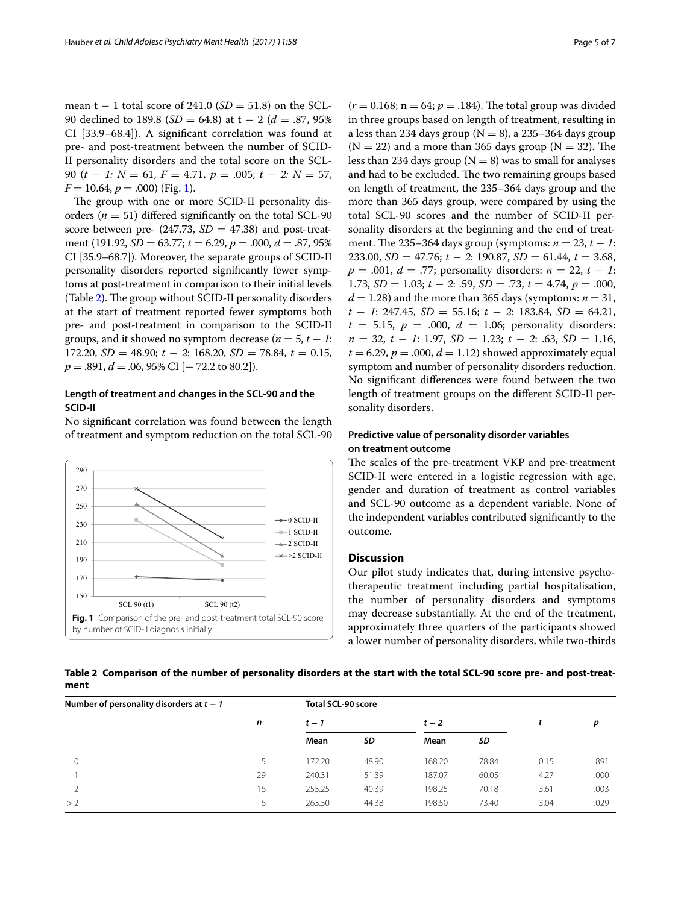mean t − 1 total score of 241.0 (*SD* = 51.8) on the SCL-90 declined to 189.8 (*SD* = 64.8) at t − 2 (*d* = .87, 95% CI [33.9–68.4]). A signifcant correlation was found at pre- and post-treatment between the number of SCID-II personality disorders and the total score on the SCL-90 (*t* − *1: N* = 61, *F* = 4.71, *p* = .005; *t* − *2: N* = 57,  $F = 10.64, p = .000$  (Fig. [1\)](#page-4-0).

The group with one or more SCID-II personality disorders  $(n = 51)$  differed significantly on the total SCL-90 score between pre-  $(247.73, SD = 47.38)$  and post-treatment (191.92, *SD* = 63.77; *t* = 6.29, *p* = .000, *d* = .87, 95% CI [35.9–68.7]). Moreover, the separate groups of SCID-II personality disorders reported signifcantly fewer symptoms at post-treatment in comparison to their initial levels (Table [2\)](#page-4-1). The group without SCID-II personality disorders at the start of treatment reported fewer symptoms both pre- and post-treatment in comparison to the SCID-II groups, and it showed no symptom decrease ( $n = 5$ ,  $t - 1$ : 172.20, *SD* = 48.90; *t* − *2*: 168.20, *SD* = 78.84, *t* = 0.15, *p* = .891, *d* = .06, 95% CI [− 72.2 to 80.2]).

# **Length of treatment and changes in the SCL‑90 and the SCID‑II**

No signifcant correlation was found between the length of treatment and symptom reduction on the total SCL-90



 $(r = 0.168; n = 64; p = .184)$ . The total group was divided in three groups based on length of treatment, resulting in a less than 234 days group ( $N = 8$ ), a 235–364 days group  $(N = 22)$  and a more than 365 days group  $(N = 32)$ . The less than 234 days group ( $N = 8$ ) was to small for analyses and had to be excluded. The two remaining groups based on length of treatment, the 235–364 days group and the more than 365 days group, were compared by using the total SCL-90 scores and the number of SCID-II personality disorders at the beginning and the end of treatment. The 235–364 days group (symptoms:  $n = 23$ ,  $t - 1$ : 233.00, *SD* = 47.76; *t* − *2*: 190.87, *SD* = 61.44, *t* = 3.68, *p* = .001, *d* = .77; personality disorders: *n* = 22, *t* − *1*: 1.73, *SD* = 1.03; *t* − *2*: .59, *SD* = .73, *t* = 4.74, *p* = .000,  $d = 1.28$ ) and the more than 365 days (symptoms:  $n = 31$ , *t* − *1*: 247.45, *SD* = 55.16; *t* − *2*: 183.84, *SD* = 64.21,  $t = 5.15$ ,  $p = .000$ ,  $d = 1.06$ ; personality disorders: *n* = 32, *t* − *1*: 1.97, *SD* = 1.23; *t* − *2*: .63, *SD* = 1.16,  $t = 6.29$ ,  $p = .000$ ,  $d = 1.12$ ) showed approximately equal symptom and number of personality disorders reduction. No signifcant diferences were found between the two length of treatment groups on the diferent SCID-II personality disorders.

# **Predictive value of personality disorder variables on treatment outcome**

The scales of the pre-treatment VKP and pre-treatment SCID-II were entered in a logistic regression with age, gender and duration of treatment as control variables and SCL-90 outcome as a dependent variable. None of the independent variables contributed signifcantly to the outcome.

# **Discussion**

Our pilot study indicates that, during intensive psychotherapeutic treatment including partial hospitalisation, the number of personality disorders and symptoms may decrease substantially. At the end of the treatment, approximately three quarters of the participants showed a lower number of personality disorders, while two-thirds

<span id="page-4-1"></span><span id="page-4-0"></span>**Table 2 Comparison of the number of personality disorders at the start with the total SCL-90 score pre- and post-treatment**

| Number of personality disorders at $t - 1$ | n  | <b>Total SCL-90 score</b> |       |        |       |      |      |  |
|--------------------------------------------|----|---------------------------|-------|--------|-------|------|------|--|
|                                            |    | $t-1$                     |       | $t-2$  |       |      | р    |  |
|                                            |    | Mean                      | SD    | Mean   | SD    |      |      |  |
| 0                                          |    | 172.20                    | 48.90 | 168.20 | 78.84 | 0.15 | .891 |  |
|                                            | 29 | 240.31                    | 51.39 | 187.07 | 60.05 | 4.27 | .000 |  |
|                                            | 16 | 255.25                    | 40.39 | 198.25 | 70.18 | 3.61 | .003 |  |
| >2                                         | 6  | 263.50                    | 44.38 | 198.50 | 73.40 | 3.04 | .029 |  |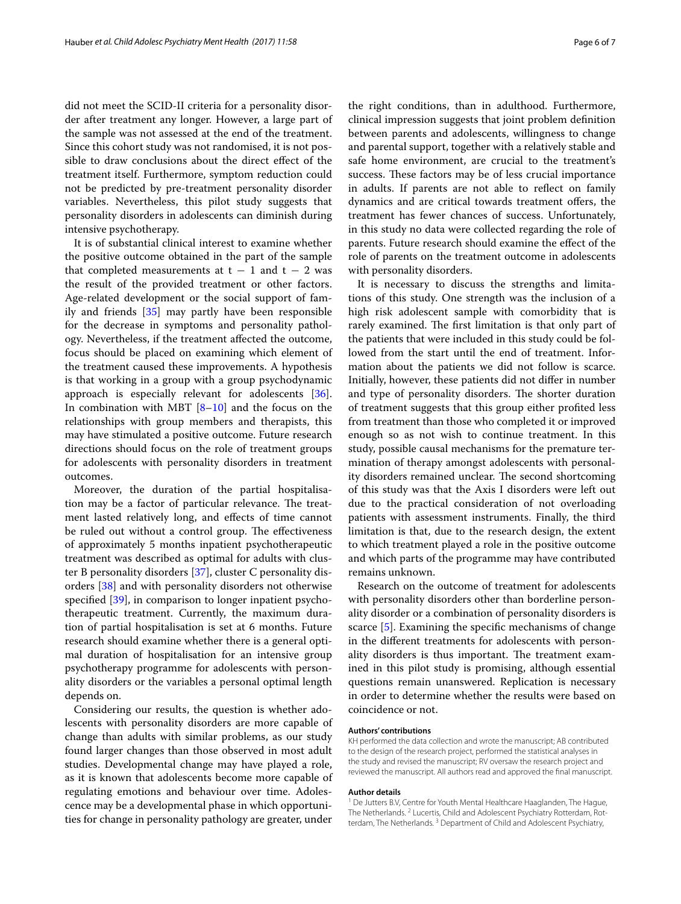did not meet the SCID-II criteria for a personality disorder after treatment any longer. However, a large part of the sample was not assessed at the end of the treatment. Since this cohort study was not randomised, it is not possible to draw conclusions about the direct efect of the treatment itself. Furthermore, symptom reduction could not be predicted by pre-treatment personality disorder variables. Nevertheless, this pilot study suggests that personality disorders in adolescents can diminish during intensive psychotherapy.

It is of substantial clinical interest to examine whether the positive outcome obtained in the part of the sample that completed measurements at  $t - 1$  and  $t - 2$  was the result of the provided treatment or other factors. Age-related development or the social support of family and friends [[35](#page-6-32)] may partly have been responsible for the decrease in symptoms and personality pathology. Nevertheless, if the treatment afected the outcome, focus should be placed on examining which element of the treatment caused these improvements. A hypothesis is that working in a group with a group psychodynamic approach is especially relevant for adolescents [\[36](#page-6-33)]. In combination with MBT  $[8-10]$  $[8-10]$  and the focus on the relationships with group members and therapists, this may have stimulated a positive outcome. Future research directions should focus on the role of treatment groups for adolescents with personality disorders in treatment outcomes.

Moreover, the duration of the partial hospitalisation may be a factor of particular relevance. The treatment lasted relatively long, and efects of time cannot be ruled out without a control group. The effectiveness of approximately 5 months inpatient psychotherapeutic treatment was described as optimal for adults with cluster B personality disorders [\[37](#page-6-34)], cluster C personality disorders [[38\]](#page-6-35) and with personality disorders not otherwise specifed [[39\]](#page-6-36), in comparison to longer inpatient psychotherapeutic treatment. Currently, the maximum duration of partial hospitalisation is set at 6 months. Future research should examine whether there is a general optimal duration of hospitalisation for an intensive group psychotherapy programme for adolescents with personality disorders or the variables a personal optimal length depends on.

Considering our results, the question is whether adolescents with personality disorders are more capable of change than adults with similar problems, as our study found larger changes than those observed in most adult studies. Developmental change may have played a role, as it is known that adolescents become more capable of regulating emotions and behaviour over time. Adolescence may be a developmental phase in which opportunities for change in personality pathology are greater, under the right conditions, than in adulthood. Furthermore, clinical impression suggests that joint problem defnition between parents and adolescents, willingness to change and parental support, together with a relatively stable and safe home environment, are crucial to the treatment's success. These factors may be of less crucial importance in adults. If parents are not able to refect on family dynamics and are critical towards treatment ofers, the treatment has fewer chances of success. Unfortunately, in this study no data were collected regarding the role of parents. Future research should examine the efect of the role of parents on the treatment outcome in adolescents with personality disorders.

It is necessary to discuss the strengths and limitations of this study. One strength was the inclusion of a high risk adolescent sample with comorbidity that is rarely examined. The first limitation is that only part of the patients that were included in this study could be followed from the start until the end of treatment. Information about the patients we did not follow is scarce. Initially, however, these patients did not difer in number and type of personality disorders. The shorter duration of treatment suggests that this group either profted less from treatment than those who completed it or improved enough so as not wish to continue treatment. In this study, possible causal mechanisms for the premature termination of therapy amongst adolescents with personality disorders remained unclear. The second shortcoming of this study was that the Axis I disorders were left out due to the practical consideration of not overloading patients with assessment instruments. Finally, the third limitation is that, due to the research design, the extent to which treatment played a role in the positive outcome and which parts of the programme may have contributed remains unknown.

Research on the outcome of treatment for adolescents with personality disorders other than borderline personality disorder or a combination of personality disorders is scarce [\[5\]](#page-6-1). Examining the specifc mechanisms of change in the diferent treatments for adolescents with personality disorders is thus important. The treatment examined in this pilot study is promising, although essential questions remain unanswered. Replication is necessary in order to determine whether the results were based on coincidence or not.

#### **Authors' contributions**

KH performed the data collection and wrote the manuscript; AB contributed to the design of the research project, performed the statistical analyses in the study and revised the manuscript; RV oversaw the research project and reviewed the manuscript. All authors read and approved the fnal manuscript.

#### **Author details**

<sup>1</sup> De Jutters B.V. Centre for Youth Mental Healthcare Haaglanden. The Hague, The Netherlands.<sup>2</sup> Lucertis, Child and Adolescent Psychiatry Rotterdam, Rotterdam, The Netherlands. 3 Department of Child and Adolescent Psychiatry,